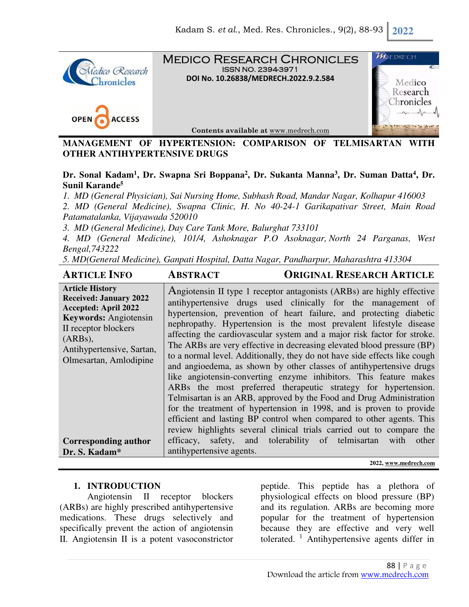

Medico Research Chronicles ISSN NO. 2394-3971 **DOI No. 10.26838/MEDRECH.2022.9.2.584**





**Contents available at** www.medrech.com

**MANAGEMENT OF HYPERTENSION: COMPARISON OF TELMISARTAN WITH OTHER ANTIHYPERTENSIVE DRUGS** 

**Dr. Sonal Kadam<sup>1</sup> , Dr. Swapna Sri Boppana<sup>2</sup> , Dr. Sukanta Manna<sup>3</sup> , Dr. Suman Datta<sup>4</sup> , Dr. Sunil Karande<sup>5</sup>**

*1. MD (General Physician), Sai Nursing Home, Subhash Road, Mandar Nagar, Kolhapur 416003 2. MD (General Medicine), Swapna Clinic, H. No 40-24-1 Garikapativar Street, Main Road Patamatalanka, Vijayawada 520010* 

*3. MD (General Medicine), Day Care Tank More, Balurghat 733101* 

*4. MD (General Medicine), 101/4, Ashoknagar P.O Asoknagar, North 24 Parganas, West Bengal,743222* 

*5. MD(General Medicine), Ganpati Hospital, Datta Nagar, Pandharpur, Maharashtra 413304*

| <b>ORIGINAL RESEARCH ARTICLE</b><br><b>ABSTRACT</b>                                                                                                                                                                                                                                                                                                                                                                                                                                                                                                                                                                                                                                                                                                                                                                                                                                                                                                                                                                             |
|---------------------------------------------------------------------------------------------------------------------------------------------------------------------------------------------------------------------------------------------------------------------------------------------------------------------------------------------------------------------------------------------------------------------------------------------------------------------------------------------------------------------------------------------------------------------------------------------------------------------------------------------------------------------------------------------------------------------------------------------------------------------------------------------------------------------------------------------------------------------------------------------------------------------------------------------------------------------------------------------------------------------------------|
| Angiotensin II type 1 receptor antagonists (ARBs) are highly effective<br>antihypertensive drugs used clinically for the management of<br>hypertension, prevention of heart failure, and protecting diabetic<br>nephropathy. Hypertension is the most prevalent lifestyle disease<br>affecting the cardiovascular system and a major risk factor for stroke.<br>The ARBs are very effective in decreasing elevated blood pressure (BP)<br>to a normal level. Additionally, they do not have side effects like cough<br>and angioedema, as shown by other classes of antihypertensive drugs<br>like angiotensin-converting enzyme inhibitors. This feature makes<br>ARBs the most preferred therapeutic strategy for hypertension.<br>Telmisartan is an ARB, approved by the Food and Drug Administration<br>for the treatment of hypertension in 1998, and is proven to provide<br>efficient and lasting BP control when compared to other agents. This<br>review highlights several clinical trials carried out to compare the |
| efficacy, safety, and tolerability of telmisartan with<br>other<br>antihypertensive agents.                                                                                                                                                                                                                                                                                                                                                                                                                                                                                                                                                                                                                                                                                                                                                                                                                                                                                                                                     |
|                                                                                                                                                                                                                                                                                                                                                                                                                                                                                                                                                                                                                                                                                                                                                                                                                                                                                                                                                                                                                                 |

**2022, www.medrech.com** 

### **1. INTRODUCTION**

Angiotensin II receptor blockers (ARBs) are highly prescribed antihypertensive medications. These drugs selectively and specifically prevent the action of angiotensin II. Angiotensin II is a potent vasoconstrictor

peptide. This peptide has a plethora of physiological effects on blood pressure (BP) and its regulation. ARBs are becoming more popular for the treatment of hypertension because they are effective and very well tolerated.  $\frac{1}{1}$  Antihypertensive agents differ in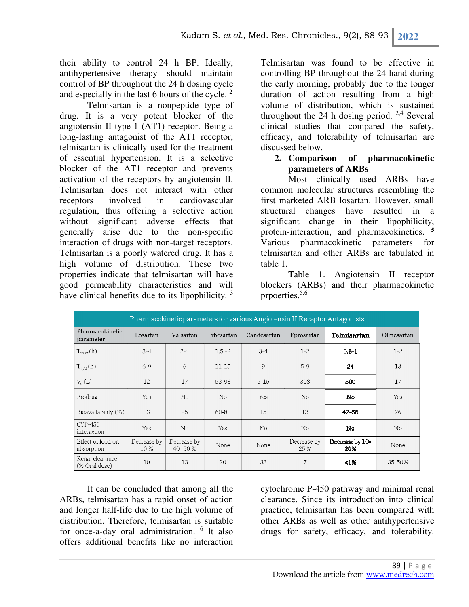their ability to control 24 h BP. Ideally, antihypertensive therapy should maintain control of BP throughout the 24 h dosing cycle and especially in the last 6 hours of the cycle.<sup>2</sup>

Telmisartan is a nonpeptide type of drug. It is a very potent blocker of the angiotensin II type-1 (AT1) receptor. Being a long-lasting antagonist of the AT1 receptor, telmisartan is clinically used for the treatment of essential hypertension. It is a selective blocker of the AT1 receptor and prevents activation of the receptors by angiotensin II. Telmisartan does not interact with other receptors involved in cardiovascular regulation, thus offering a selective action without significant adverse effects that generally arise due to the non-specific interaction of drugs with non-target receptors. Telmisartan is a poorly watered drug. It has a high volume of distribution. These two properties indicate that telmisartan will have good permeability characteristics and will have clinical benefits due to its lipophilicity.  $3$ 

Telmisartan was found to be effective in controlling BP throughout the 24 hand during the early morning, probably due to the longer duration of action resulting from a high volume of distribution, which is sustained throughout the 24 h dosing period.  $2,4$  Several clinical studies that compared the safety, efficacy, and tolerability of telmisartan are discussed below.

### **2. Comparison of pharmacokinetic parameters of ARBs**

Most clinically used ARBs have common molecular structures resembling the first marketed ARB losartan. However, small structural changes have resulted in a significant change in their lipophilicity, protein-interaction, and pharmacokinetics. **<sup>5</sup>** Various pharmacokinetic parameters for telmisartan and other ARBs are tabulated in table 1.

Table 1. Angiotensin II receptor blockers (ARBs) and their pharmacokinetic prpoerties.5,6

|                                  | Pharmacokinetic parameters for various Angiotensin II Receptor Antagonists |                           |                |                |                     |                        |                |  |  |
|----------------------------------|----------------------------------------------------------------------------|---------------------------|----------------|----------------|---------------------|------------------------|----------------|--|--|
| Pharmacokinetic<br>parameter     | Losartan                                                                   | Valsartan                 | Irbesartan     | Candesartan    | Eprosartan          | Telmisartan            | Olmesartan     |  |  |
| $T_{\text{max}}(h)$              | $3-4$                                                                      | $2 - 4$                   | $1.5 - 2$      | $3-4$          | $1 - 2$             | $0.5 - 1$              | $1 - 2$        |  |  |
| $T_{1/2}$ (h)                    | 6-9                                                                        | 6                         | $11 - 15$      | 9              | $5 - 9$             | 24                     | 13             |  |  |
| $V_d(L)$                         | 12                                                                         | 17                        | 53-93          | $5 - 15$       | 308                 | 500                    | 17             |  |  |
| Prodrug                          | <b>Yes</b>                                                                 | No.                       | N <sub>o</sub> | Yes            | No.                 | No                     | Yes            |  |  |
| Bioavailability (%)              | 33                                                                         | 25                        | 60-80          | 15             | 13                  | 42-58                  | 26             |  |  |
| $CYP-450$<br>interaction         | Yes                                                                        | No                        | Yes            | N <sub>0</sub> | No                  | No                     | N <sub>0</sub> |  |  |
| Effect of food on<br>absorption  | Decrease by<br>10 %                                                        | Decrease by<br>$40 - 50%$ | None           | None           | Decrease by<br>25 % | Decrease by 10-<br>20% | None           |  |  |
| Renal clearance<br>(% Oral dose) | 10                                                                         | 13                        | 20             | 33             | 7                   | < 1%                   | 35-50%         |  |  |

It can be concluded that among all the ARBs, telmisartan has a rapid onset of action and longer half-life due to the high volume of distribution. Therefore, telmisartan is suitable for once-a-day oral administration. <sup>6</sup> It also offers additional benefits like no interaction

cytochrome P-450 pathway and minimal renal clearance. Since its introduction into clinical practice, telmisartan has been compared with other ARBs as well as other antihypertensive drugs for safety, efficacy, and tolerability.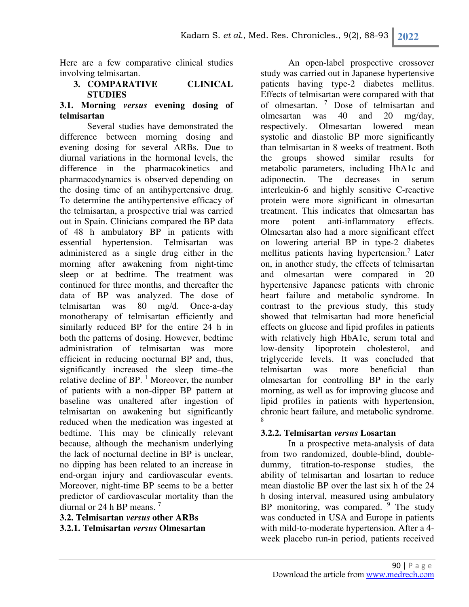Here are a few comparative clinical studies involving telmisartan.

### **3. COMPARATIVE CLINICAL STUDIES**

#### **3.1. Morning** *versus* **evening dosing of telmisartan**

Several studies have demonstrated the difference between morning dosing and evening dosing for several ARBs. Due to diurnal variations in the hormonal levels, the difference in the pharmacokinetics and pharmacodynamics is observed depending on the dosing time of an antihypertensive drug. To determine the antihypertensive efficacy of the telmisartan, a prospective trial was carried out in Spain. Clinicians compared the BP data of 48 h ambulatory BP in patients with essential hypertension. Telmisartan was administered as a single drug either in the morning after awakening from night-time sleep or at bedtime. The treatment was continued for three months, and thereafter the data of BP was analyzed. The dose of telmisartan was 80 mg/d. Once-a-day monotherapy of telmisartan efficiently and similarly reduced BP for the entire 24 h in both the patterns of dosing. However, bedtime administration of telmisartan was more efficient in reducing nocturnal BP and, thus, significantly increased the sleep time–the relative decline of BP.  $<sup>1</sup>$  Moreover, the number</sup> of patients with a non-dipper BP pattern at baseline was unaltered after ingestion of telmisartan on awakening but significantly reduced when the medication was ingested at bedtime. This may be clinically relevant because, although the mechanism underlying the lack of nocturnal decline in BP is unclear, no dipping has been related to an increase in end-organ injury and cardiovascular events. Moreover, night-time BP seems to be a better predictor of cardiovascular mortality than the diurnal or 24 h BP means. <sup>7</sup>

**3.2. Telmisartan** *versus* **other ARBs 3.2.1. Telmisartan** *versus* **Olmesartan** 

An open-label prospective crossover study was carried out in Japanese hypertensive patients having type-2 diabetes mellitus. Effects of telmisartan were compared with that of olmesartan. <sup>7</sup> Dose of telmisartan and olmesartan was 40 and 20 mg/day, respectively. Olmesartan lowered mean systolic and diastolic BP more significantly than telmisartan in 8 weeks of treatment. Both the groups showed similar results for metabolic parameters, including HbA1c and adiponectin. The decreases in serum interleukin-6 and highly sensitive C-reactive protein were more significant in olmesartan treatment. This indicates that olmesartan has more potent anti-inflammatory effects. Olmesartan also had a more significant effect on lowering arterial BP in type-2 diabetes mellitus patients having hypertension.<sup>7</sup> Later on, in another study, the effects of telmisartan and olmesartan were compared in 20 hypertensive Japanese patients with chronic heart failure and metabolic syndrome. In contrast to the previous study, this study showed that telmisartan had more beneficial effects on glucose and lipid profiles in patients with relatively high HbA1c, serum total and low-density lipoprotein cholesterol, and triglyceride levels. It was concluded that telmisartan was more beneficial than olmesartan for controlling BP in the early morning, as well as for improving glucose and lipid profiles in patients with hypertension, chronic heart failure, and metabolic syndrome. 8

#### **3.2.2. Telmisartan** *versus* **Losartan**

In a prospective meta-analysis of data from two randomized, double-blind, doubledummy, titration-to-response studies, the ability of telmisartan and losartan to reduce mean diastolic BP over the last six h of the 24 h dosing interval, measured using ambulatory BP monitoring, was compared. <sup>9</sup> The study was conducted in USA and Europe in patients with mild-to-moderate hypertension. After a 4 week placebo run-in period, patients received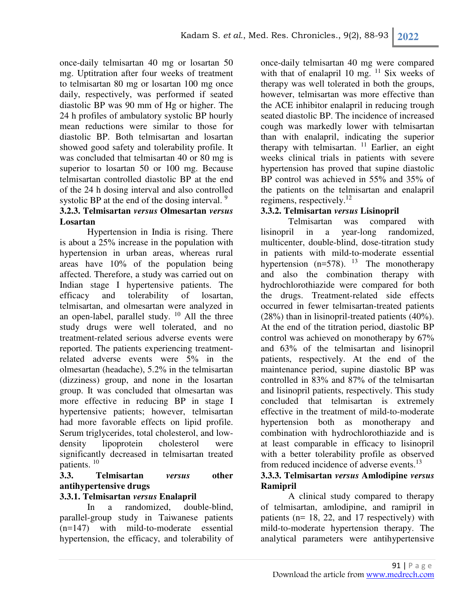once-daily telmisartan 40 mg or losartan 50 mg. Uptitration after four weeks of treatment to telmisartan 80 mg or losartan 100 mg once daily, respectively, was performed if seated diastolic BP was 90 mm of Hg or higher. The 24 h profiles of ambulatory systolic BP hourly mean reductions were similar to those for diastolic BP. Both telmisartan and losartan showed good safety and tolerability profile. It was concluded that telmisartan 40 or 80 mg is superior to losartan 50 or 100 mg. Because telmisartan controlled diastolic BP at the end of the 24 h dosing interval and also controlled systolic BP at the end of the dosing interval. <sup>9</sup>

# **3.2.3. Telmisartan** *versus* **Olmesartan** *versus* **Losartan**

Hypertension in India is rising. There is about a 25% increase in the population with hypertension in urban areas, whereas rural areas have 10% of the population being affected. Therefore, a study was carried out on Indian stage I hypertensive patients. The efficacy and tolerability of losartan, telmisartan, and olmesartan were analyzed in an open-label, parallel study.  $10$  All the three study drugs were well tolerated, and no treatment-related serious adverse events were reported. The patients experiencing treatmentrelated adverse events were 5% in the olmesartan (headache), 5.2% in the telmisartan (dizziness) group, and none in the losartan group. It was concluded that olmesartan was more effective in reducing BP in stage I hypertensive patients; however, telmisartan had more favorable effects on lipid profile. Serum triglycerides, total cholesterol, and lowdensity lipoprotein cholesterol were significantly decreased in telmisartan treated patients. <sup>10</sup>

### **3.3. Telmisartan** *versus* **other antihypertensive drugs**

## **3.3.1. Telmisartan** *versus* **Enalapril**

In a randomized, double-blind, parallel-group study in Taiwanese patients (n=147) with mild-to-moderate essential hypertension, the efficacy, and tolerability of

once-daily telmisartan 40 mg were compared with that of enalapril 10 mg.  $^{11}$  Six weeks of therapy was well tolerated in both the groups, however, telmisartan was more effective than the ACE inhibitor enalapril in reducing trough seated diastolic BP. The incidence of increased cough was markedly lower with telmisartan than with enalapril, indicating the superior therapy with telmisartan.  $11$  Earlier, an eight weeks clinical trials in patients with severe hypertension has proved that supine diastolic BP control was achieved in 55% and 35% of the patients on the telmisartan and enalapril regimens, respectively.<sup>12</sup>

### **3.3.2. Telmisartan** *versus* **Lisinopril**

Telmisartan was compared with lisinopril in a year-long randomized, multicenter, double-blind, dose-titration study in patients with mild-to-moderate essential hypertension ( $n=578$ ). <sup>13</sup> The monotherapy and also the combination therapy with hydrochlorothiazide were compared for both the drugs. Treatment-related side effects occurred in fewer telmisartan-treated patients (28%) than in lisinopril-treated patients (40%). At the end of the titration period, diastolic BP control was achieved on monotherapy by 67% and 63% of the telmisartan and lisinopril patients, respectively. At the end of the maintenance period, supine diastolic BP was controlled in 83% and 87% of the telmisartan and lisinopril patients, respectively. This study concluded that telmisartan is extremely effective in the treatment of mild-to-moderate hypertension both as monotherapy and combination with hydrochlorothiazide and is at least comparable in efficacy to lisinopril with a better tolerability profile as observed from reduced incidence of adverse events.<sup>13</sup>

### **3.3.3. Telmisartan** *versus* **Amlodipine** *versus* **Ramipril**

A clinical study compared to therapy of telmisartan, amlodipine, and ramipril in patients (n= 18, 22, and 17 respectively) with mild-to-moderate hypertension therapy. The analytical parameters were antihypertensive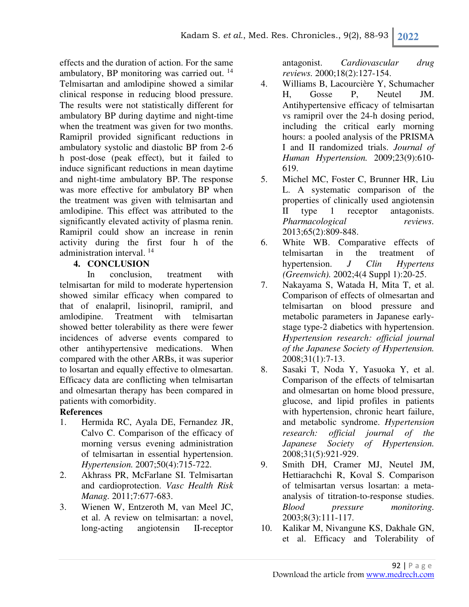effects and the duration of action. For the same ambulatory, BP monitoring was carried out. <sup>14</sup> Telmisartan and amlodipine showed a similar clinical response in reducing blood pressure. The results were not statistically different for ambulatory BP during daytime and night-time when the treatment was given for two months. Ramipril provided significant reductions in ambulatory systolic and diastolic BP from 2-6 h post-dose (peak effect), but it failed to induce significant reductions in mean daytime and night-time ambulatory BP. The response was more effective for ambulatory BP when the treatment was given with telmisartan and amlodipine. This effect was attributed to the significantly elevated activity of plasma renin. Ramipril could show an increase in renin activity during the first four h of the administration interval. <sup>14</sup>

# **4. CONCLUSION**

In conclusion, treatment with telmisartan for mild to moderate hypertension showed similar efficacy when compared to that of enalapril, lisinopril, ramipril, and amlodipine. Treatment with telmisartan showed better tolerability as there were fewer incidences of adverse events compared to other antihypertensive medications. When compared with the other ARBs, it was superior to losartan and equally effective to olmesartan. Efficacy data are conflicting when telmisartan and olmesartan therapy has been compared in patients with comorbidity.

## **References**

- 1. Hermida RC, Ayala DE, Fernandez JR, Calvo C. Comparison of the efficacy of morning versus evening administration of telmisartan in essential hypertension. *Hypertension.* 2007;50(4):715-722.
- 2. Akhrass PR, McFarlane SI. Telmisartan and cardioprotection. *Vasc Health Risk Manag.* 2011;7:677-683.
- 3. Wienen W, Entzeroth M, van Meel JC, et al. A review on telmisartan: a novel, long‐acting angiotensin II‐receptor

antagonist. *Cardiovascular drug reviews.* 2000;18(2):127-154.

- 4. Williams B, Lacourcière Y, Schumacher H, Gosse P, Neutel JM. Antihypertensive efficacy of telmisartan vs ramipril over the 24-h dosing period, including the critical early morning hours: a pooled analysis of the PRISMA I and II randomized trials. *Journal of Human Hypertension.* 2009;23(9):610- 619.
- 5. Michel MC, Foster C, Brunner HR, Liu L. A systematic comparison of the properties of clinically used angiotensin II type 1 receptor antagonists. *Pharmacological reviews.*  2013;65(2):809-848.
- 6. White WB. Comparative effects of telmisartan in the treatment of hypertension. *J Clin Hypertens (Greenwich).* 2002;4(4 Suppl 1):20-25.
- 7. Nakayama S, Watada H, Mita T, et al. Comparison of effects of olmesartan and telmisartan on blood pressure and metabolic parameters in Japanese earlystage type-2 diabetics with hypertension. *Hypertension research: official journal of the Japanese Society of Hypertension.*  2008;31(1):7-13.
- 8. Sasaki T, Noda Y, Yasuoka Y, et al. Comparison of the effects of telmisartan and olmesartan on home blood pressure, glucose, and lipid profiles in patients with hypertension, chronic heart failure, and metabolic syndrome. *Hypertension research: official journal of the Japanese Society of Hypertension.*  2008;31(5):921-929.
- 9. Smith DH, Cramer MJ, Neutel JM, Hettiarachchi R, Koval S. Comparison of telmisartan versus losartan: a metaanalysis of titration-to-response studies. *Blood pressure monitoring.*  2003;8(3):111-117.
- 10. Kalikar M, Nivangune KS, Dakhale GN, et al. Efficacy and Tolerability of